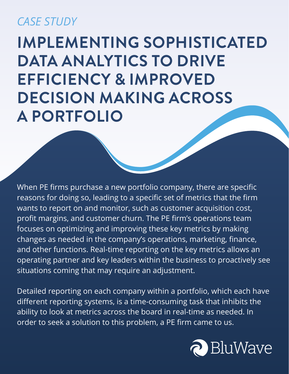#### *CASE STUDY*

### **IMPLEMENTING SOPHISTICATED DATA ANALYTICS TO DRIVE EFFICIENCY & IMPROVED DECISION MAKING ACROSS A PORTFOLIO**

When PE firms purchase a new portfolio company, there are specific reasons for doing so, leading to a specific set of metrics that the firm wants to report on and monitor, such as customer acquisition cost, profit margins, and customer churn. The PE firm's operations team focuses on optimizing and improving these key metrics by making changes as needed in the company's operations, marketing, finance, and other functions. Real-time reporting on the key metrics allows an operating partner and key leaders within the business to proactively see situations coming that may require an adjustment.

Detailed reporting on each company within a portfolio, which each have different reporting systems, is a time-consuming task that inhibits the ability to look at metrics across the board in real-time as needed. In order to seek a solution to this problem, a PE firm came to us.

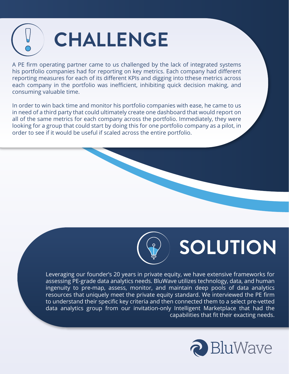

A PE firm operating partner came to us challenged by the lack of integrated systems his portfolio companies had for reporting on key metrics. Each company had different reporting measures for each of its different KPIs and digging into tthese metrics across each company in the portfolio was inefficient, inhibiting quick decision making, and consuming valuable time.

In order to win back time and monitor his portfolio companies with ease, he came to us in need of a third party that could ultimately create one dashboard that would report on all of the same metrics for each company across the portfolio. Immediately, they were looking for a group that could start by doing this for one portfolio company as a pilot, in order to see if it would be useful if scaled across the entire portfolio.



# **SOLUTION**

Leveraging our founder's 20 years in private equity, we have extensive frameworks for assessing PE-grade data analytics needs. BluWave utilizes technology, data, and human ingenuity to pre-map, assess, monitor, and maintain deep pools of data analytics resources that uniquely meet the private equity standard. We interviewed the PE firm to understand their specific key criteria and then connected them to a select pre-vetted data analytics group from our invitation-only Intelligent Marketplace that had the capabilities that fit their exacting needs.